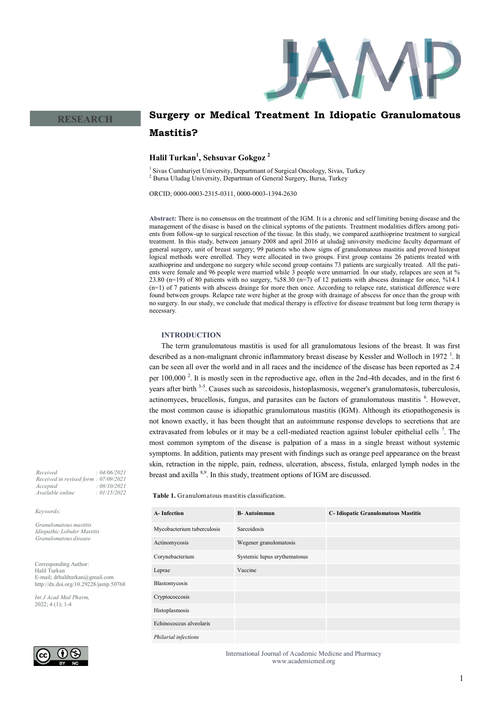

# **Surgery or Medical Treatment In Idiopatic Granulomatous Mastitis?**

# **Halil Turkan<sup>1</sup> , Sehsuvar Gokgoz <sup>2</sup>**

<sup>1</sup> Sivas Cumhuriyet University, Departmant of Surgical Oncology, Sivas, Turkey <sup>2</sup> Bursa Uludag University, Departman of General Surgery, Bursa, Turkey

ORCID; 0000-0003-2315-0311, 0000-0003-1394-2630

**Abstract:** There is no consensus on the treatment of the IGM. It is a chronic and self limiting bening disease and the management of the disase is based on the clinical syptoms of the patients. Treatment modalities differs among patients from follow-up to surgical resection of the tissue. In this study, we compared azathioprine treatment to surgical treatment. In this study, between january 2008 and april 2016 at uludağ university medicine faculty deparmant of general surgery, unit of breast surgery; 99 patients who show signs of granulomatous mastitis and proved histopat logical methods were enrolled. They were allocated in two groups. First group contains 26 patients treated with azathioprine and undergone no surgery while second group contains 73 patients are surgically treated. All the patients were female and 96 people were married while 3 people were unmarried. İn our study, relapces are seen at % 23.80 (n=19) of 80 patients with no surgery, %58.30 (n=7) of 12 patients with abscess drainage for once, %14.1 (n=1) of 7 patients with abscess drainge for more then once. According to relapce rate, statistical difference were found between groups. Relapce rate were higher at the group with drainage of abscess for once than the group with no surgery. In our study, we conclude that medical therapy is effective for disease treatment but long term therapy is necessary.

## **INTRODUCTION**

The term granulomatous mastitis is used for all granulomatous lesions of the breast. It was first described as a non-malignant chronic inflammatory breast disease by Kessler and Wolloch in 1972<sup>1</sup>. It can be seen all over the world and in all races and the incidence of the disease has been reported as 2.4 per 100,000<sup>2</sup>. It is mostly seen in the reproductive age, often in the 2nd-4th decades, and in the first 6 years after birth <sup>3-5</sup>. Causes such as sarcoidosis, histoplasmosis, wegener's granulomatosis, tuberculosis, actinomyces, brucellosis, fungus, and parasites can be factors of granulomatous mastitis <sup>6</sup>. However, the most common cause is idiopathic granulomatous mastitis (IGM). Although its etiopathogenesis is not known exactly, it has been thought that an autoimmune response develops to secretions that are extravasated from lobules or it may be a cell-mediated reaction against lobuler epithelial cells<sup>7</sup>. The most common symptom of the disease is palpation of a mass in a single breast without systemic symptoms. In addition, patients may present with findings such as orange peel appearance on the breast skin, retraction in the nipple, pain, redness, ulceration, abscess, fistula, enlarged lymph nodes in the breast and axilla <sup>8,9</sup>. In this study, treatment options of IGM are discussed.

**Table 1.** Granulomatous mastitis classification.

| <b>A-Infection</b>         | <b>B-Autoimmun</b>           | C- Idiopatic Granulomatous Mastitis |
|----------------------------|------------------------------|-------------------------------------|
| Mycobacterium tuberculosis | Sarcoidosis                  |                                     |
| Actinomycosis              | Wegener granulomatosis       |                                     |
| Corynebacterium            | Systemic lupus erythematosus |                                     |
| Leprae                     | Vaccine                      |                                     |
| Blastomycosis              |                              |                                     |
| Cryptococcosis             |                              |                                     |
| Histoplasmosis             |                              |                                     |
| Echinococcus alveolaris    |                              |                                     |
| Philarial infections       |                              |                                     |

*Received : 04/06/2021 Received in revised form : 07/09/2021 Accepted : 08/10/2021*  $A$ vailable online

**RESEARCH**

#### *Keywords:*

*Granulomatous mastitis Idiopathic Lobuler Mastitis Granulomatous disease* 

Corresponding Author: Halil Turkan E-mail; drhalilturkan@gmail.com http://dx.doi.org/10.29228/jamp.50768

*Int J Acad Med Pharm,* 2022; 4 (1); 1-4

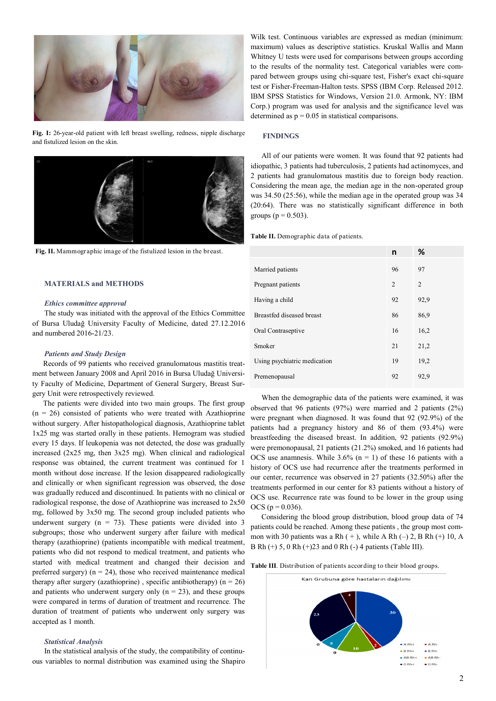

**Fig. I:** 26-year-old patient with left breast swelling, redness, nipple discharge and fistulized lesion on the skin.



**Fig. II.** Mammographic image of the fistulized lesion in the breast.

## **MATERIALS and METHODS**

#### *Ethics committee approval*

The study was initiated with the approval of the Ethics Committee of Bursa Uludağ University Faculty of Medicine, dated 27.12.2016 and numbered 2016-21/23.

#### *Patients and Study Design*

Records of 99 patients who received granulomatous mastitis treatment between January 2008 and April 2016 in Bursa Uludağ University Faculty of Medicine, Department of General Surgery, Breast Surgery Unit were retrospectively reviewed.

The patients were divided into two main groups. The first group  $(n = 26)$  consisted of patients who were treated with Azathioprine without surgery. After histopathological diagnosis, Azathioprine tablet 1x25 mg was started orally in these patients. Hemogram was studied every 15 days. If leukopenia was not detected, the dose was gradually increased (2x25 mg, then 3x25 mg). When clinical and radiological response was obtained, the current treatment was continued for 1 month without dose increase. If the lesion disappeared radiologically and clinically or when significant regression was observed, the dose was gradually reduced and discontinued. In patients with no clinical or radiological response, the dose of Azathioprine was increased to 2x50 mg, followed by 3x50 mg. The second group included patients who underwent surgery ( $n = 73$ ). These patients were divided into 3 subgroups; those who underwent surgery after failure with medical therapy (azathioprine) (patients incompatible with medical treatment, patients who did not respond to medical treatment, and patients who started with medical treatment and changed their decision and preferred surgery) ( $n = 24$ ), those who received maintenance medical therapy after surgery (azathioprine), specific antibiotherapy) ( $n = 26$ ) and patients who underwent surgery only  $(n = 23)$ , and these groups were compared in terms of duration of treatment and recurrence. The duration of treatment of patients who underwent only surgery was accepted as 1 month.

#### *Statistical Analysis*

In the statistical analysis of the study, the compatibility of continuous variables to normal distribution was examined using the Shapiro

Wilk test. Continuous variables are expressed as median (minimum: maximum) values as descriptive statistics. Kruskal Wallis and Mann Whitney U tests were used for comparisons between groups according to the results of the normality test. Categorical variables were compared between groups using chi-square test, Fisher's exact chi-square test or Fisher-Freeman-Halton tests. SPSS (IBM Corp. Released 2012. IBM SPSS Statistics for Windows, Version 21.0. Armonk, NY: IBM Corp.) program was used for analysis and the significance level was determined as  $p = 0.05$  in statistical comparisons.

## **FINDINGS**

All of our patients were women. It was found that 92 patients had idiopathic, 3 patients had tuberculosis, 2 patients had actinomyces, and 2 patients had granulomatous mastitis due to foreign body reaction. Considering the mean age, the median age in the non-operated group was 34.50 (25:56), while the median age in the operated group was 34 (20:64). There was no statistically significant difference in both groups ( $p = 0.503$ ).

**Table II.** Demographic data of patients.

|                              | n  | %    |
|------------------------------|----|------|
| Married patients             | 96 | 97   |
| Pregnant patients            | 2  | 2    |
| Having a child               | 92 | 92,9 |
| Breastfed diseased breast    | 86 | 86,9 |
| Oral Contraseptive           | 16 | 16,2 |
| Smoker                       | 21 | 21,2 |
| Using psychiatric medication | 19 | 19,2 |
| Premenopausal                | 92 | 92,9 |

When the demographic data of the patients were examined, it was observed that 96 patients (97%) were married and 2 patients (2%) were pregnant when diagnosed. It was found that 92 (92.9%) of the patients had a pregnancy history and 86 of them (93.4%) were breastfeeding the diseased breast. In addition, 92 patients (92.9%) were premonopausal, 21 patients (21.2%) smoked, and 16 patients had OCS use anamnesis. While  $3.6\%$  (n = 1) of these 16 patients with a history of OCS use had recurrence after the treatments performed in our center, recurrence was observed in 27 patients (32.50%) after the treatments performed in our center for 83 patients without a history of OCS use. Recurrence rate was found to be lower in the group using  $OCS (p = 0.036)$ .

Considering the blood group distribution, blood group data of 74 patients could be reached. Among these patients , the group most common with 30 patients was a Rh  $(+)$ , while A Rh  $(-)$  2, B Rh  $(+)$  10, A B Rh (+) 5, 0 Rh (+)23 and 0 Rh (-) 4 patients (Table III).

**Table III**. Distribution of patients according to their blood groups.

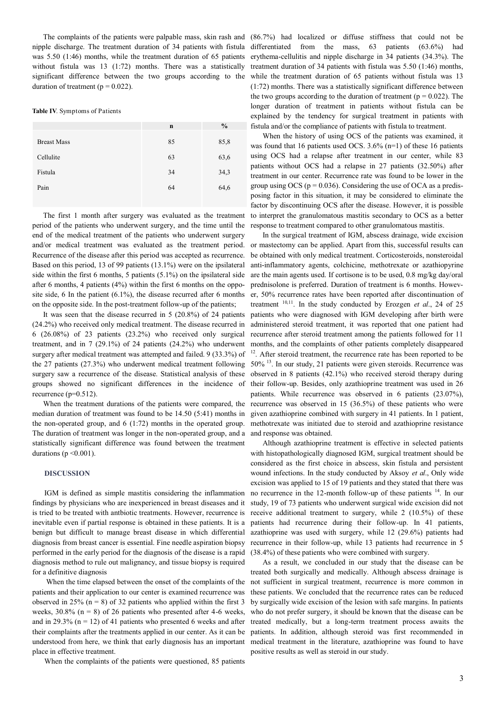nipple discharge. The treatment duration of 34 patients with fistula was 5.50 (1:46) months, while the treatment duration of 65 patients without fistula was 13 (1:72) months. There was a statistically significant difference between the two groups according to the duration of treatment ( $p = 0.022$ ).

#### **Table IV**. Symptoms of Patients

|                    | $\mathbf n$ | $\frac{6}{6}$ |
|--------------------|-------------|---------------|
| <b>Breast Mass</b> | 85          | 85,8          |
| Cellulite          | 63          | 63,6          |
| Fistula            | 34          | 34,3          |
| Pain               | 64          | 64,6          |
|                    |             |               |

The first 1 month after surgery was evaluated as the treatment period of the patients who underwent surgery, and the time until the end of the medical treatment of the patients who underwent surgery and/or medical treatment was evaluated as the treatment period. Recurrence of the disease after this period was accepted as recurrence. Based on this period, 13 of 99 patients (13.1%) were on the ipsilateral side within the first 6 months, 5 patients (5.1%) on the ipsilateral side after 6 months, 4 patients (4%) within the first 6 months on the opposite side, 6 In the patient (6.1%), the disease recurred after 6 months on the opposite side. In the post-treatment follow-up of the patients;

It was seen that the disease recurred in 5 (20.8%) of 24 patients (24.2%) who received only medical treatment. The disease recurred in 6 (26.08%) of 23 patients (23.2%) who received only surgical treatment, and in  $7$  (29.1%) of 24 patients (24.2%) who underwent surgery after medical treatment was attempted and failed. 9 (33.3%) of the 27 patients (27.3%) who underwent medical treatment following surgery saw a recurrence of the disease. Statistical analysis of these groups showed no significant differences in the incidence of recurrence  $(p=0.512)$ .

When the treatment durations of the patients were compared, the median duration of treatment was found to be 14.50 (5:41) months in the non-operated group, and 6 (1:72) months in the operated group. The duration of treatment was longer in the non-operated group, and a statistically significant difference was found between the treatment durations ( $p \le 0.001$ ).

#### **DISCUSSION**

IGM is defined as simple mastitis considering the inflammation findings by physicians who are inexperienced in breast diseases and it is tried to be treated with antbiotic treatments. However, recurrence is inevitable even if partial response is obtained in these patients. It is a benign but difficult to manage breast disease in which differential diagnosis from breast cancer is essential. Fine needle aspiration biopsy performed in the early period for the diagnosis of the disease is a rapid diagnosis method to rule out malignancy, and tissue biopsy is required for a definitive diagnosis

When the time elapsed between the onset of the complaints of the patients and their application to our center is examined recurrence was observed in 25% ( $n = 8$ ) of 32 patients who applied within the first 3 weeks,  $30.8\%$  (n = 8) of 26 patients who presented after 4-6 weeks, and in 29.3% ( $n = 12$ ) of 41 patients who presented 6 weeks and after their complaints after the treatments applied in our center. As it can be understood from here, we think that early diagnosis has an important place in effective treatment.

When the complaints of the patients were questioned, 85 patients

The complaints of the patients were palpable mass, skin rash and (86.7%) had localized or diffuse stiffness that could not be differentiated from the mass, 63 patients (63.6%) had erythema-cellulitis and nipple discharge in 34 patients (34.3%). The treatment duration of 34 patients with fistula was 5.50 (1:46) months, while the treatment duration of 65 patients without fistula was 13 (1:72) months. There was a statistically significant difference between the two groups according to the duration of treatment ( $p = 0.022$ ). The longer duration of treatment in patients without fistula can be explained by the tendency for surgical treatment in patients with fistula and/or the compliance of patients with fistula to treatment.

> When the history of using OCS of the patients was examined, it was found that 16 patients used OCS. 3.6% (n=1) of these 16 patients using OCS had a relapse after treatment in our center, while 83 patients without OCS had a relapse in 27 patients (32.50%) after treatment in our center. Recurrence rate was found to be lower in the group using OCS ( $p = 0.036$ ). Considering the use of OCA as a predisposing factor in this situation, it may be considered to eliminate the factor by discontinuing OCS after the disease. However, it is possible to interpret the granulomatous mastitis secondary to OCS as a better response to treatment compared to other granulomatous mastitis.

> In the surgical treatment of IGM, abscess drainage, wide excision or mastectomy can be applied. Apart from this, successful results can be obtained with only medical treatment. Corticosteroids, nonsteroidal anti-inflammatory agents, colchicine, methotrexate or azathiopyrine are the main agents used. If cortisone is to be used, 0.8 mg/kg day/oral prednisolone is preferred. Duration of treatment is 6 months. However, 50% recurrence rates have been reported after discontinuation of treatment 10,11. In the study conducted by Erozgen *et al*., 24 of 25 patients who were diagnosed with IGM developing after birth were administered steroid treatment, it was reported that one patient had recurrence after steroid treatment among the patients followed for 11 months, and the complaints of other patients completely disappeared <sup>12</sup>. After steroid treatment, the recurrence rate has been reported to be 50% <sup>13</sup>. In our study, 21 patients were given steroids. Recurrence was observed in 8 patients (42.1%) who received steroid therapy during their follow-up. Besides, only azathioprine treatment was used in 26 patients. While recurrence was observed in 6 patients (23.07%), recurrence was observed in 15 (36.5%) of these patients who were given azathioprine combined with surgery in 41 patients. In 1 patient, methotrexate was initiated due to steroid and azathioprine resistance and response was obtained.

> Although azathioprine treatment is effective in selected patients with histopathologically diagnosed IGM, surgical treatment should be considered as the first choice in abscess, skin fistula and persistent wound infections. In the study conducted by Aksoy *et al*., Only wide excision was applied to 15 of 19 patients and they stated that there was no recurrence in the 12-month follow-up of these patients <sup>14</sup>. In our study, 19 of 73 patients who underwent surgical wide excision did not receive additional treatment to surgery, while 2 (10.5%) of these patients had recurrence during their follow-up. In 41 patients, azathioprine was used with surgery, while 12 (29.6%) patients had recurrence in their follow-up, while 13 patients had recurrence in 5 (38.4%) of these patients who were combined with surgery.

> As a result, we concluded in our study that the disease can be treated both surgically and medically. Although abscess drainage is not sufficient in surgical treatment, recurrence is more common in these patients. We concluded that the recurrence rates can be reduced by surgically wide excision of the lesion with safe margins. In patients who do not prefer surgery, it should be known that the disease can be treated medically, but a long-term treatment process awaits the patients. In addition, although steroid was first recommended in medical treatment in the literature, azathioprine was found to have positive results as well as steroid in our study.